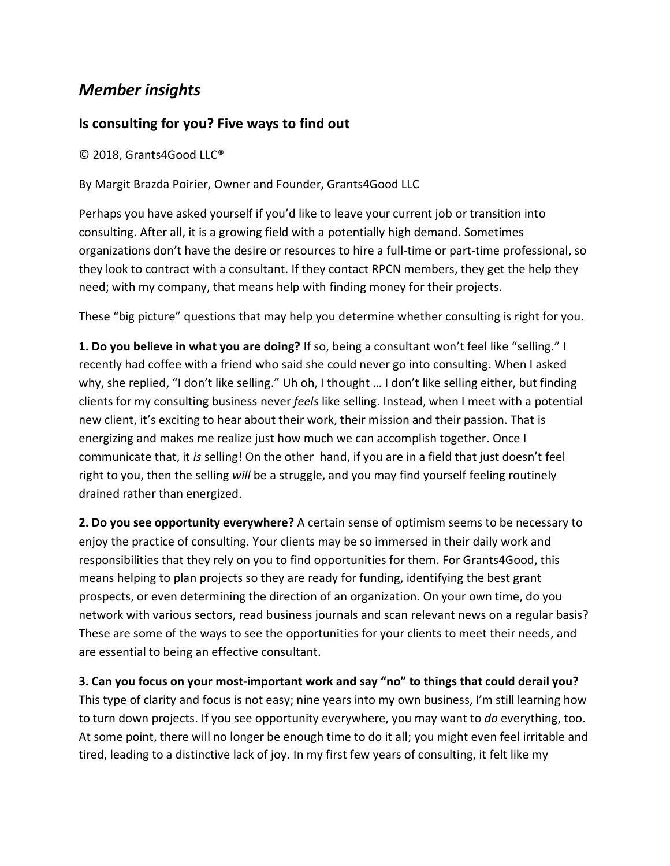## *Member insights*

## **Is consulting for you? Five ways to find out**

© 2018, Grants4Good LLC®

By Margit Brazda Poirier, Owner and Founder, Grants4Good LLC

Perhaps you have asked yourself if you'd like to leave your current job or transition into consulting. After all, it is a growing field with a potentially high demand. Sometimes organizations don't have the desire or resources to hire a full-time or part-time professional, so they look to contract with a consultant. If they contact RPCN members, they get the help they need; with my company, that means help with finding money for their projects.

These "big picture" questions that may help you determine whether consulting is right for you.

**1. Do you believe in what you are doing?** If so, being a consultant won't feel like "selling." I recently had coffee with a friend who said she could never go into consulting. When I asked why, she replied, "I don't like selling." Uh oh, I thought … I don't like selling either, but finding clients for my consulting business never *feels* like selling. Instead, when I meet with a potential new client, it's exciting to hear about their work, their mission and their passion. That is energizing and makes me realize just how much we can accomplish together. Once I communicate that, it *is* selling! On the other hand, if you are in a field that just doesn't feel right to you, then the selling *will* be a struggle, and you may find yourself feeling routinely drained rather than energized.

**2. Do you see opportunity everywhere?** A certain sense of optimism seems to be necessary to enjoy the practice of consulting. Your clients may be so immersed in their daily work and responsibilities that they rely on you to find opportunities for them. For Grants4Good, this means helping to plan projects so they are ready for funding, identifying the best grant prospects, or even determining the direction of an organization. On your own time, do you network with various sectors, read business journals and scan relevant news on a regular basis? These are some of the ways to see the opportunities for your clients to meet their needs, and are essential to being an effective consultant.

**3. Can you focus on your most-important work and say "no" to things that could derail you?** This type of clarity and focus is not easy; nine years into my own business, I'm still learning how to turn down projects. If you see opportunity everywhere, you may want to *do* everything, too. At some point, there will no longer be enough time to do it all; you might even feel irritable and tired, leading to a distinctive lack of joy. In my first few years of consulting, it felt like my